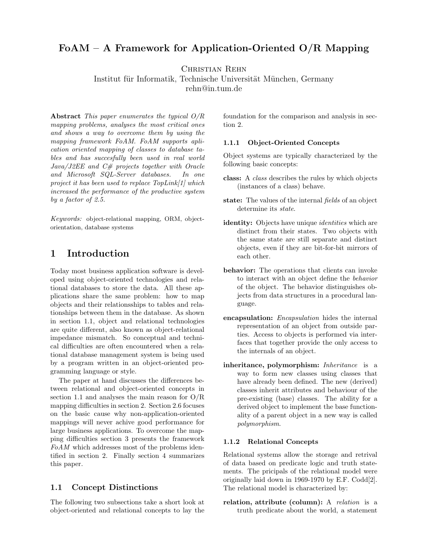# FoAM – A Framework for Application-Oriented  $O/R$  Mapping

Christian Rehn

Institut für Informatik, Technische Universität München, Germany rehn@in.tum.de

Abstract This paper enumerates the typical O/R mapping problems, analyses the most critical ones and shows a way to overcome them by using the mapping framework FoAM. FoAM supports aplication oriented mapping of classes to database tables and has succesfully been used in real world Java/J2EE and C# projects together with Oracle and Microsoft SQL-Server databases. In one project it has been used to replace TopLink[1] which increased the performance of the productive system by a factor of 2.5.

Keywords: object-relational mapping, ORM, objectorientation, database systems

# 1 Introduction

Today most business application software is developed using object-oriented technologies and relational databases to store the data. All these applications share the same problem: how to map objects and their relationsships to tables and relationships between them in the database. As shown in section 1.1, object and relational technologies are quite different, also known as object-relational impedance mismatch. So conceptual and technical difficulties are often encountered when a relational database management system is being used by a program written in an object-oriented programming language or style.

The paper at hand discusses the differences between relational and object-oriented concepts in section 1.1 and analyses the main reason for O/R mapping difficulties in section 2. Section 2.6 focuses on the basic cause why non-application-oriented mappings will never achive good performance for large business applications. To overcome the mapping difficulties section 3 presents the framework FoAM which addresses most of the problems identified in section 2. Finally section 4 summarizes this paper.

## 1.1 Concept Distinctions

The following two subsections take a short look at object-oriented and relational concepts to lay the

foundation for the comparison and analysis in section 2.

#### 1.1.1 Object-Oriented Concepts

Object systems are typically characterized by the following basic concepts:

- class: A class describes the rules by which objects (instances of a class) behave.
- state: The values of the internal fields of an object determine its state.
- identity: Objects have unique *identities* which are distinct from their states. Two objects with the same state are still separate and distinct objects, even if they are bit-for-bit mirrors of each other.
- behavior: The operations that clients can invoke to interact with an object define the behavior of the object. The behavior distinguishes objects from data structures in a procedural language.
- encapsulation: *Encapsulation* hides the internal representation of an object from outside parties. Access to objects is performed via interfaces that together provide the only access to the internals of an object.
- inheritance, polymorphism: Inheritance is a way to form new classes using classes that have already been defined. The new (derived) classes inherit attributes and behaviour of the pre-existing (base) classes. The ability for a derived object to implement the base functionality of a parent object in a new way is called polymorphism.

#### 1.1.2 Relational Concepts

Relational systems allow the storage and retrival of data based on predicate logic and truth statements. The pricipals of the relational model were originally laid down in 1969-1970 by E.F. Codd[2]. The relational model is characterized by:

relation, attribute (column): A relation is a truth predicate about the world, a statement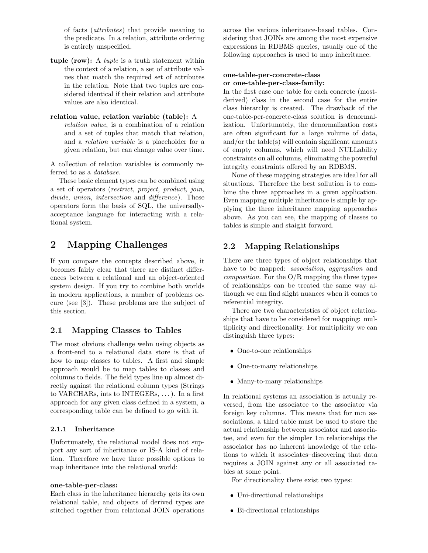of facts (attributes) that provide meaning to the predicate. In a relation, attribute ordering is entirely unspecified.

tuple (row): A tuple is a truth statement within the context of a relation, a set of attribute values that match the required set of attributes in the relation. Note that two tuples are considered identical if their relation and attribute values are also identical.

#### relation value, relation variable (table): A

relation value, is a combination of a relation and a set of tuples that match that relation, and a relation variable is a placeholder for a given relation, but can change value over time.

A collection of relation variables is commonly referred to as a database.

These basic element types can be combined using a set of operators (restrict, project, product, join, divide, union, intersection and difference). These operators form the basis of SQL, the universallyacceptance language for interacting with a relational system.

# 2 Mapping Challenges

If you compare the concepts described above, it becomes fairly clear that there are distinct differences between a relational and an object-oriented system design. If you try to combine both worlds in modern applications, a number of problems occure (see [3]). These problems are the subject of this section.

## 2.1 Mapping Classes to Tables

The most obvious challenge wehn using objects as a front-end to a relational data store is that of how to map classes to tables. A first and simple approach would be to map tables to classes and columns to fields. The field types line up almost directly against the relational column types (Strings to VARCHARs, ints to INTEGERs, . . . ). In a first approach for any given class defined in a system, a corresponding table can be defined to go with it.

#### 2.1.1 Inheritance

Unfortunately, the relational model does not support any sort of inheritance or IS-A kind of relation. Therefore we have three possible options to map inheritance into the relational world:

#### one-table-per-class:

Each class in the inheritance hierarchy gets its own relational table, and objects of derived types are stitched together from relational JOIN operations across the various inheritance-based tables. Considering that JOINs are among the most expensive expressions in RDBMS queries, usually one of the following approaches is used to map inheritance.

#### one-table-per-concrete-class or one-table-per-class-family:

In the first case one table for each concrete (mostderived) class in the second case for the entire class hierarchy is created. The drawback of the one-table-per-concrete-class solution is denormalization. Unfortunately, the denormalization costs are often significant for a large volume of data, and/or the table(s) will contain significant amounts of empty columns, which will need NULLability constraints on all columns, eliminating the powerful integrity constraints offered by an RDBMS.

None of these mapping strategies are ideal for all situations. Therefore the best sollution is to combine the three approaches in a given application. Even mapping multiple inheritance is simple by applying the three inheritance mapping approaches above. As you can see, the mapping of classes to tables is simple and staight forword.

#### 2.2 Mapping Relationships

There are three types of object relationships that have to be mapped: *association*, *aggregation* and *composition*. For the  $O/R$  mapping the three types of relationships can be treated the same way although we can find slight nuances when it comes to referential integrity.

There are two characteristics of object relationships that have to be considered for mapping: multiplicity and directionality. For multiplicity we can distinguish three types:

- One-to-one relationships
- One-to-many relationships
- Many-to-many relationships

In relational systems an association is actually reversed, from the associatee to the associator via foreign key columns. This means that for m:n associations, a third table must be used to store the actual relationship between associator and associatee, and even for the simpler 1:n relationships the associator has no inherent knowledge of the relations to which it associates–discovering that data requires a JOIN against any or all associated tables at some point.

For directionality there exist two types:

- Uni-directional relationships
- Bi-directional relationships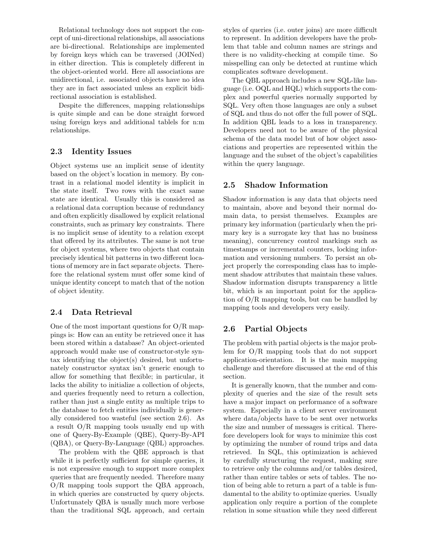Relational technology does not support the concept of uni-directional relationships, all associations are bi-directional. Relationships are implemented by foreign keys which can be traversed (JOINed) in either direction. This is completely different in the object-oriented world. Here all associations are unidirectional, i.e. associated objects have no idea they are in fact associated unless an explicit bidirectional association is established.

Despite the differences, mapping relationsships is quite simple and can be done straight forword using foreign keys and additional tablels for n:m relationships.

## 2.3 Identity Issues

Object systems use an implicit sense of identity based on the object's location in memory. By contrast in a relational model identity is implicit in the state itself. Two rows with the exact same state are identical. Usually this is considered as a relational data corruption because of redundancy and often explicitly disallowed by explicit relational constraints, such as primary key constraints. There is no implicit sense of identity to a relation except that offered by its attributes. The same is not true for object systems, where two objects that contain precisely identical bit patterns in two different locations of memory are in fact separate objects. Therefore the relational system must offer some kind of unique identity concept to match that of the notion of object identity.

#### 2.4 Data Retrieval

One of the most important questions for O/R mappings is: How can an entity be retrieved once it has been stored within a database? An object-oriented approach would make use of constructor-style syntax identifying the object(s) desired, but unfortunately constructor syntax isn't generic enough to allow for something that flexible; in particular, it lacks the ability to initialize a collection of objects, and queries frequently need to return a collection, rather than just a single entity as multiple trips to the database to fetch entities individually is generally considered too wasteful (see section 2.6). As a result O/R mapping tools usually end up with one of Query-By-Example (QBE), Query-By-API (QBA), or Query-By-Language (QBL) approaches.

The problem with the QBE approach is that while it is perfectly sufficient for simple queries, it is not expressive enough to support more complex queries that are frequently needed. Therefore many O/R mapping tools support the QBA approach, in which queries are constructed by query objects. Unfortunately QBA is usually much more verbose than the traditional SQL approach, and certain styles of queries (i.e. outer joins) are more difficult to represent. In addition developers have the problem that table and column names are strings and there is no validity-checking at compile time. So misspelling can only be detected at runtime which complicates software development.

The QBL approach includes a new SQL-like language (i.e. OQL and HQL) which supports the complex and powerful queries normally supported by SQL. Very often those languages are only a subset of SQL and thus do not offer the full power of SQL. In addition QBL leads to a loss in transparency. Developers need not to be aware of the physical schema of the data model but of how object associations and properties are represented within the language and the subset of the object's capabilities within the query language.

#### 2.5 Shadow Information

Shadow information is any data that objects need to maintain, above and beyond their normal domain data, to persist themselves. Examples are primary key information (particularly when the primary key is a surrogate key that has no business meaning), concurrency control markings such as timestamps or incremental counters, locking information and versioning numbers. To persist an object properly the corresponding class has to implement shadow attributes that maintain these values. Shadow information disrupts transparency a little bit, which is an important point for the application of O/R mapping tools, but can be handled by mapping tools and developers very easily.

#### 2.6 Partial Objects

The problem with partial objects is the major problem for O/R mapping tools that do not support application-orientation. It is the main mapping challenge and therefore discussed at the end of this section.

It is generally known, that the number and complexity of queries and the size of the result sets have a major impact on performance of a software system. Especially in a client server environment where data/objects have to be sent over networks the size and number of messages is critical. Therefore developers look for ways to minimize this cost by optimizing the number of round trips and data retrieved. In SQL, this optimization is achieved by carefully structuring the request, making sure to retrieve only the columns and/or tables desired, rather than entire tables or sets of tables. The notion of being able to return a part of a table is fundamental to the ability to optimize queries. Usually application only require a portion of the complete relation in some situation while they need different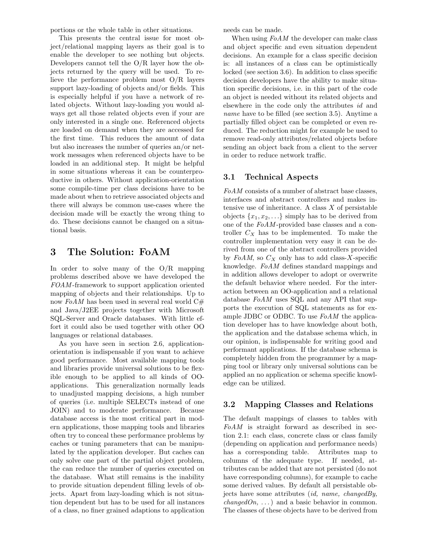portions or the whole table in other situations.

This presents the central issue for most object/relational mapping layers as their goal is to enable the developer to see nothing but objects. Developers cannot tell the O/R layer how the objects returned by the query will be used. To relieve the performance problem most O/R layers support lazy-loading of objects and/or fields. This is especially helpful if you have a network of related objects. Without lazy-loading you would always get all those related objects even if your are only interested in a single one. Referenced objects are loaded on demand when they are accessed for the first time. This reduces the amount of data but also increases the number of queries an/or network messages when referenced objects have to be loaded in an additional step. It might be helpful in some situations whereas it can be counterproductive in others. Without application-orientation some compile-time per class decisions have to be made about when to retrieve associated objects and there will always be common use-cases where the decision made will be exactly the wrong thing to do. These decisions cannot be changed on a situational basis.

# 3 The Solution: FoAM

In order to solve many of the O/R mapping problems described above we have developed the FOAM -framework to support application oriented mapping of objects and their relationships. Up to now  $FoAM$  has been used in several real world  $C#$ and Java/J2EE projects together with Microsoft SQL-Server and Oracle databases. With little effort it could also be used together with other OO languages or relational databases.

As you have seen in section 2.6, applicationorientation is indispensable if you want to achieve good performance. Most available mapping tools and libraries provide universal solutions to be flexible enough to be applied to all kinds of OOapplications. This generalization normally leads to unadjusted mapping decisions, a high number of queries (i.e. multiple SELECTs instead of one JOIN) and to moderate performance. Because database access is the most critical part in modern applications, those mapping tools and libraries often try to conceal these performance problems by caches or tuning parameters that can be manipulated by the application developer. But caches can only solve one part of the partial object problem, the can reduce the number of queries executed on the database. What still remains is the inability to provide situation dependent filling levels of objects. Apart from lazy-loading which is not situation dependent but has to be used for all instances of a class, no finer grained adaptions to application

needs can be made.

When using  $FoAM$  the developer can make class and object specific and even situation dependent decisions. An example for a class specific decision is: all instances of a class can be optimistically locked (see section 3.6). In addition to class specific decision developers have the ability to make situation specific decisions, i.e. in this part of the code an object is needed without its related objects and elsewhere in the code only the attributes id and name have to be filled (see section 3.5). Anytime a partially filled object can be completed or even reduced. The reduction might for example be used to remove read-only attributes/related objects before sending an object back from a client to the server in order to reduce network traffic.

## 3.1 Technical Aspects

FoAM consists of a number of abstract base classes. interfaces and abstract controllers and makes intensive use of inheritance. A class  $X$  of persistable objects  $\{x_1, x_2, \ldots\}$  simply has to be derived from one of the FoAM -provided base classes and a controller  $C_X$  has to be implemented. To make the controller implementation very easy it can be derived from one of the abstract controllers provided by FoAM, so  $C_X$  only has to add class-X-specific knowledge. FoAM defines standard mappings and in addition allows developer to adopt or overwrite the default behavior where needed. For the interaction between an OO-application and a relational database FoAM uses SQL and any API that supports the execution of SQL statements as for example JDBC or ODBC. To use FoAM the application developer has to have knowledge about both, the application and the database schema which, in our opinion, is indispensable for writing good and performant applications. If the database schema is completely hidden from the programmer by a mapping tool or library only universal solutions can be applied an no application or schema specific knowledge can be utilized.

## 3.2 Mapping Classes and Relations

The default mappings of classes to tables with FoAM is straight forward as described in section 2.1: each class, concrete class or class family (depending on application and performance needs) has a corresponding table. Attributes map to columns of the adequate type. If needed, attributes can be added that are not persisted (do not have corresponding columns), for example to cache some derived values. By default all persistable objects have some attributes *(id, name, changedBy, changedOn, ...*) and a basic behavior in common. The classes of these objects have to be derived from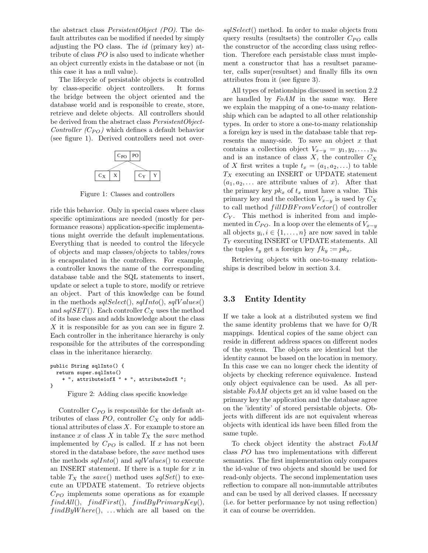the abstract class PersistentObject (PO). The default attributes can be modified if needed by simply adjusting the PO class. The id (primary key) attribute of class  $PO$  is also used to indicate whether an object currently exists in the database or not (in this case it has a null value).

The lifecycle of persistable objects is controlled by class-specific object controllers. It forms the bridge between the object oriented and the database world and is responsible to create, store, retrieve and delete objects. All controllers should be derived from the abstract class PersistentObject-Controller  $(C_{PO})$  which defines a default behavior (see figure 1). Derived controllers need not over-



Figure 1: Classes and controllers

ride this behavior. Only in special cases where class specific optimizations are needed (mostly for performance reasons) application-specific implementations might override the default implementations. Everything that is needed to control the lifecycle of objects and map classes/objects to tables/rows is encapsulated in the controllers. For example, a controller knows the name of the corresponding database table and the SQL statements to insert, update or select a tuple to store, modify or retrieve an object. Part of this knowledge can be found in the methods  $\textit{sglSelect}($ ),  $\textit{sglInto}($ ),  $\textit{sglValues}($ and  $sqISET$ ). Each controller  $C_X$  uses the method of its base class and adds knowledge about the class  $X$  it is responsible for as you can see in figure 2. Each controller in the inheritance hierarchy is only responsible for the attributes of the corresponding class in the inheritance hierarchy.

```
public String sqlInto() {
  return super.sqlInto()
    + ", attribute1ofX " + ", attribute2ofX ";
}
```
Figure 2: Adding class specific knowledge

Controller  $C_{PO}$  is responsible for the default attributes of class  $PO$ , controller  $C_X$  only for additional attributes of class  $X$ . For example to store an instance  $x$  of class  $X$  in table  $T_X$  the save method implemented by  $C_{PO}$  is called. If x has not been stored in the database before, the save method uses the methods  $\text{sg}(\text{Int}_0)$  and  $\text{sg}(\text{Values})$  to execute an INSERT statement. If there is a tuple for  $x$  in table  $T_X$  the save() method uses sqlSet() to execute an UPDATE statement. To retrieve objects  $C_{PO}$  implements some operations as for example  $findAll(), findFirst(), findByPrimaryKey(),$  $findByWhere(), \dots, which are all based on the$ 

sqlSelect() method. In order to make objects from query results (resultsets) the controller  $C_{PO}$  calls the constructor of the according class using reflection. Therefore each persistable class must implement a constructor that has a resultset parameter, calls super(resultset) and finally fills its own attributes from it (see figure 3).

All types of relationships discussed in section 2.2 are handled by FoAM in the same way. Here we explain the mapping of a one-to-many relationship which can be adapted to all other relationship types. In order to store a one-to-many relationship a foreign key is used in the database table that represents the many-side. To save an object  $x$  that contains a collection object  $V_{x-y} = y_1, y_2, \ldots, y_n$ and is an instance of class  $X$ , the controller  $C_X$ of X first writes a tuple  $t_x = (a_1, a_2, \ldots)$  to table  $T_X$  executing an INSERT or UPDATE statement  $(a_1, a_2, \ldots)$  are attribute values of x. After that the primary key  $pk_x$  of  $t_x$  must have a value. This primary key and the collection  $V_{x-y}$  is used by  $C_X$ to call method  $fillDBFromVector()$  of controller  $C_Y$ . This method is inherited from and implemented in  $C_{PO}$ . In a loop over the elements of  $V_{x-y}$ all objects  $y_i, i \in \{1, \ldots, n\}$  are now saved in table  $T_Y$  executing INSERT or UPDATE statements. All the tuples  $t_y$  get a foreign key  $fk_y := pk_x$ .

Retrieving objects with one-to-many relationships is described below in section 3.4.

## 3.3 Entity Identity

If we take a look at a distributed system we find the same identity problems that we have for O/R mappings. Identical copies of the same object can reside in different address spaces on different nodes of the system. The objects are identical but the identity cannot be based on the location in memory. In this case we can no longer check the identity of objects by checking reference equivalence. Instead only object equivalence can be used. As all persistable FoAM objects get an id value based on the primary key the application and the database agree on the 'identity' of stored persistable objects. Objects with different ids are not equivalent whereas objects with identical ids have been filled from the same tuple.

To check object identity the abstract FoAM class  $PO$  has two implementations with different semantics. The first implementation only compares the id-value of two objects and should be used for read-only objects. The second implementation uses reflection to compare all non-immutable attributes and can be used by all derived classes. If necessary (i.e. for better performance by not using reflection) it can of course be overridden.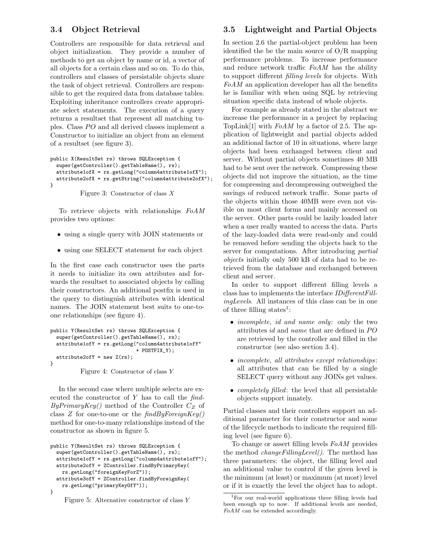### 3.4 Object Retrieval

Controllers are responsible for data retrieval and object initialization. They provide a number of methods to get an object by name or id, a vector of all objects for a certain class and so on. To do this, controllers and classes of persistable objects share the task of object retrieval. Controllers are responsible to get the required data from database tables. Exploiting inheritance controllers create appropriate select statements. The execution of a query returns a resultset that represent all matching tuples. Class PO and all derived classes implement a Constructor to initialize an object from an element of a resultset (see figure 3).

```
public X(ResultSet rs) throws SQLException {
 super(getController().getTableName(), rs);
 attribute1ofX = rs.getLong("column4attribute1ofX");
 attribute2ofX = rs.getString("column4attribute2ofX");
}
```
Figure 3: Constructor of class  $X$ 

To retrieve objects with relationships FoAM provides two options:

- using a single query with JOIN statements or
- using one SELECT statement for each object

In the first case each constructor uses the parts it needs to initialize its own attributes and forwards the resultset to associated objects by calling their constructors. An additional postfix is used in the query to distinguish attributes with identical names. The JOIN statement best suits to one-toone relationships (see figure 4).

```
public Y(ResultSet rs) throws SQLException {
 super(getController().getTableName(), rs);
 attribute1ofY = rs.getLong("column4attribute1ofY"
                             + POSTFIX_Y);
 attribute2ofY = new Z(rs);}
```
Figure 4: Constructor of class Y

In the second case where multiple selects are executed the constructor of  $Y$  has to call the  $find$ - $By PrimaryKey()$  method of the Controller  $C_Z$  of class  $Z$  for one-to-one or the  $findBy ForeignKey()$ method for one-to-many relationships instead of the constructor as shown in figure 5.

```
public Y(ResultSet rs) throws SQLException {
 super(getController().getTableName(), rs);
 attribute1ofY = rs.getLong("column4attribute1ofY");
 attribute2ofY = ZController.findByPrimaryKey(
   rs.getLong("foreignKeyForZ"));
  attribute3ofY = ZController.findByForeignKey(
   rs.getLong("primaryKeyOfY"));
}
```
Figure 5: Alternative constructor of class Y

### 3.5 Lightweight and Partial Objects

In section 2.6 the partial-object problem has been identified the be the main source of O/R mapping performance problems. To increase performance and reduce network traffic FoAM has the ability to support different filling levels for objects. With FoAM an application developer has all the benefits he is familiar with when using SQL by retrieving situation specific data instead of whole objects.

For example as already stated in the abstract we increase the performance in a project by replacing TopLink[1] with  $FoAM$  by a factor of 2.5. The application of lightweight and partial objects added an additional factor of 10 in situations, where large objects had been exchanged between client and server. Without partial objects sometimes 40 MB had to be sent over the network. Compressing these objects did not improve the situation, as the time for compressing and decompressing outweighed the savings of reduced network traffic. Some parts of the objects within those 40MB were even not visible on most client forms and mainly accessed on the server. Other parts could be lazily loaded later when a user really wanted to access the data. Parts of the lazy-loaded data were read-only and could be removed before sending the objects back to the server for computations. After introducing partial objects initially only 500 kB of data had to be retrieved from the database and exchanged between client and server.

In order to support different filling levels a class has to implements the interface IDifferentFillingLevels. All instances of this class can be in one of three filling states<sup>1</sup>:

- *incomplete, id and name only:* only the two attributes  $id$  and name that are defined in  $PO$ are retrieved by the controller and filled in the constructor (see also section 3.4).
- incomplete, all attributes except relationships: all attributes that can be filled by a single SELECT query without any JOINs get values.
- *completely filled*: the level that all persistable objects support innately.

Partial classes and their controllers support an additional parameter for their constructor and some of the lifecycle methods to indicate the required filling level (see figure 6).

To change or assert filling levels FoAM provides the method changeFillingLevel(). The method has three parameters: the object, the filling level and an additional value to control if the given level is the minimum (at least) or maximum (at most) level or if it is exactly the level the object has to adopt.

<sup>1</sup>For our real-world applications three filling levels had been enough up to now. If additional levels are needed, FoAM can be extended accordingly.